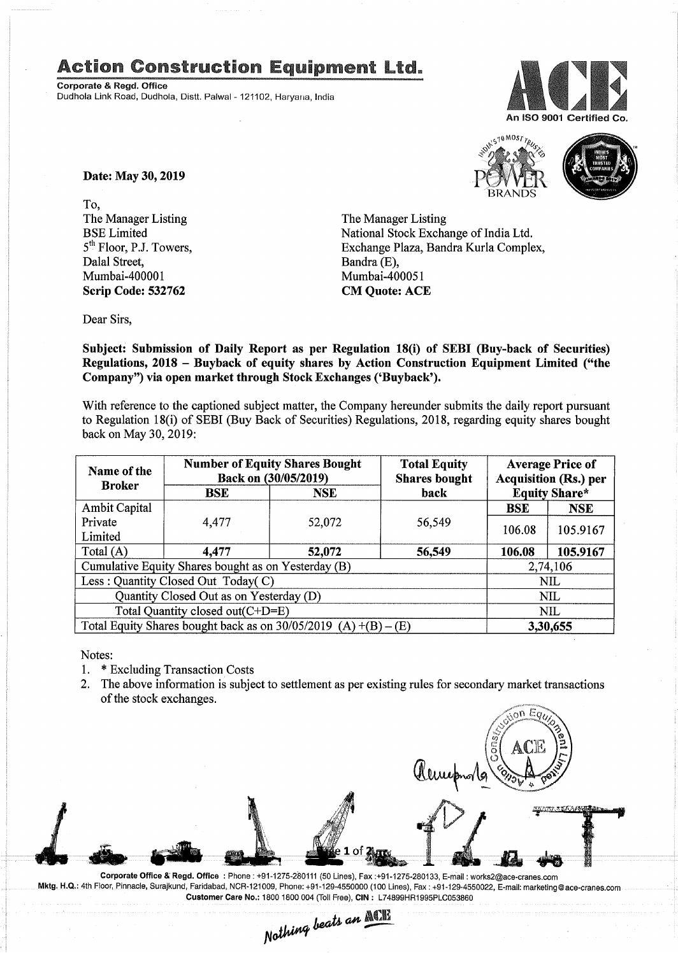## Action Construction Equipment Ltd..

Corporate & Regd. Office Dudhola Link Road, Dudhola, Distt. Palwal - 121102, Haryana, India





Date: May 30, 2019

To, The Manager Listing BSE Limited 5<sup>th</sup> Floor, P.J. Towers, Dalal Street, Mumbai-400001 Scrip Code: 532762

The Manager Listing National Stock Exchange of India Ltd. Exchange Plaza, Bandra Kurla Complex, Bandra (E), Mumbai-400051 CM Quote: ACE

Dear Sirs,

Subject: Submission of Daily Report as per Regulation 18(i) of SEBI (Buy-back of Securities) Regulations, 2018 - Buyback of equity shares by Action Construction Equipment Limited ("the Company") via open market through Stock Exchanges ('Buyback').

With reference to the captioned subject matter, the Company hereunder submits the daily report pursuant to Regulation IS(i) of SEBI (Buy Back of Securities) Regulations, 201S, regarding equity shares bought back on May 30,2019:

| Name of the<br><b>Broker</b>                                      | <b>Number of Equity Shares Bought</b><br>Back on (30/05/2019) |            | <b>Total Equity</b><br><b>Shares bought</b> |                      | <b>Average Price of</b><br><b>Acquisition (Rs.) per</b> |
|-------------------------------------------------------------------|---------------------------------------------------------------|------------|---------------------------------------------|----------------------|---------------------------------------------------------|
|                                                                   | <b>BSE</b>                                                    | <b>NSE</b> | back                                        | <b>Equity Share*</b> |                                                         |
| Ambit Capital                                                     |                                                               |            |                                             | <b>BSE</b>           | <b>NSE</b>                                              |
| Private<br>Limited                                                | 4,477                                                         | 52,072     | 56,549                                      | 106.08               | 105.9167                                                |
| Total $(A)$                                                       | 4,477                                                         | 52,072     | 56,549                                      | 106.08               | 105.9167                                                |
| Cumulative Equity Shares bought as on Yesterday (B)               |                                                               |            |                                             | 2,74,106             |                                                         |
| Less: Quantity Closed Out Today(C)                                |                                                               |            |                                             | <b>NIL</b>           |                                                         |
| Quantity Closed Out as on Yesterday (D)                           |                                                               |            |                                             | <b>NIL</b>           |                                                         |
| Total Quantity closed out(C+D=E)                                  |                                                               |            |                                             | <b>NIL</b>           |                                                         |
| Total Equity Shares bought back as on $30/05/2019$ (A) +(B) – (E) |                                                               |            |                                             | 3,30,655             |                                                         |

Notes:

- 1. \* Excluding Transaction Costs
- 2. The above information is subject to settlement as per existing rules for secondary market transactions of the stock exchanges.

nn Ec

Corporate Office &' Regd. Office: Phone: +91-1275-280111(50 Lines), Fax:+91-1275-280133, E-mail: works2@ace-cranes.com Mktg. H.Q.: 4th Floor, Pinnacle, Surajkund, Faridabad, NCR-121009, Phone: +91-129-4550000 (100 Lines), Fax: +91-129-4550022, E-mail: marketing@ace-cranes.com

Customer Care No.: 1800 1800 004 (Toll Free), CIN: L74899HR1995PLC053860<br>Nathing beats an **Mathing**